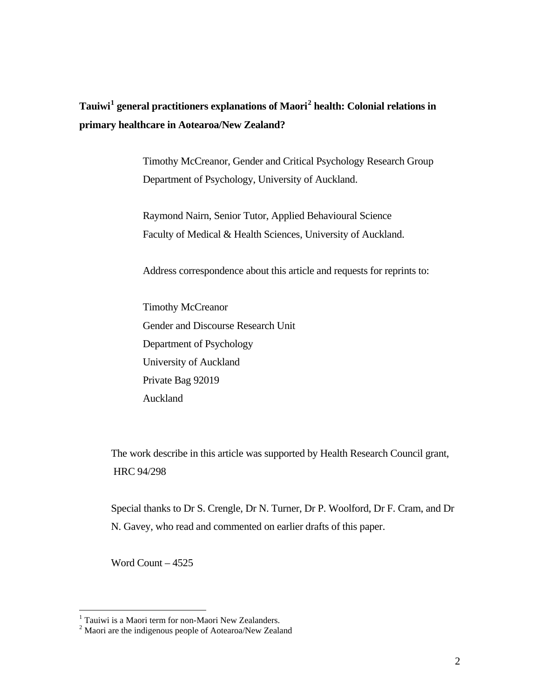# **Tauiwi[1](#page-0-0) general practitioners explanations of Maori[2](#page-0-1) health: Colonial relations in primary healthcare in Aotearoa/New Zealand?**

Timothy McCreanor, Gender and Critical Psychology Research Group Department of Psychology, University of Auckland.

Raymond Nairn, Senior Tutor, Applied Behavioural Science Faculty of Medical & Health Sciences, University of Auckland.

Address correspondence about this article and requests for reprints to:

Timothy McCreanor Gender and Discourse Research Unit Department of Psychology University of Auckland Private Bag 92019 Auckland

The work describe in this article was supported by Health Research Council grant, HRC 94/298

Special thanks to Dr S. Crengle, Dr N. Turner, Dr P. Woolford, Dr F. Cram, and Dr N. Gavey, who read and commented on earlier drafts of this paper.

Word Count – 4525

<span id="page-0-1"></span><span id="page-0-0"></span><sup>&</sup>lt;sup>1</sup> Tauiwi is a Maori term for non-Maori New Zealanders.<br><sup>2</sup> Maori are the indigenous people of Aotearoa/New Zealand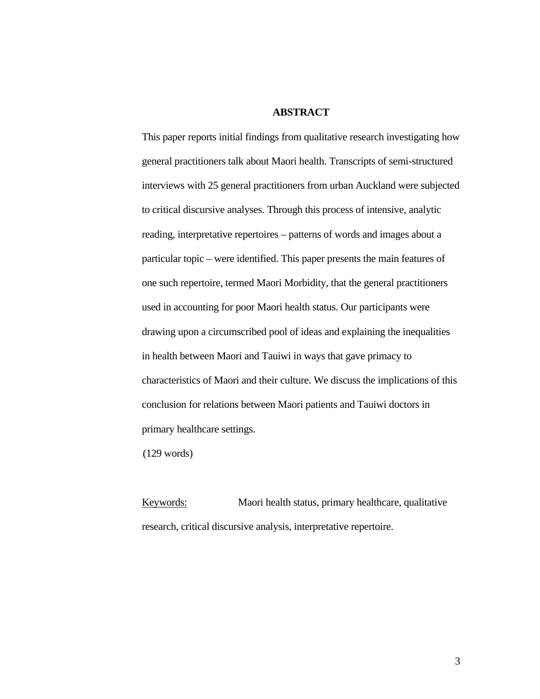## **ABSTRACT**

This paper reports initial findings from qualitative research investigating how general practitioners talk about Maori health. Transcripts of semi-structured interviews with 25 general practitioners from urban Auckland were subjected to critical discursive analyses. Through this process of intensive, analytic reading, interpretative repertoires – patterns of words and images about a particular topic – were identified. This paper presents the main features of one such repertoire, termed Maori Morbidity, that the general practitioners used in accounting for poor Maori health status. Our participants were drawing upon a circumscribed pool of ideas and explaining the inequalities in health between Maori and Tauiwi in ways that gave primacy to characteristics of Maori and their culture. We discuss the implications of this conclusion for relations between Maori patients and Tauiwi doctors in primary healthcare settings.

(129 words)

Keywords: Maori health status, primary healthcare, qualitative research, critical discursive analysis, interpretative repertoire.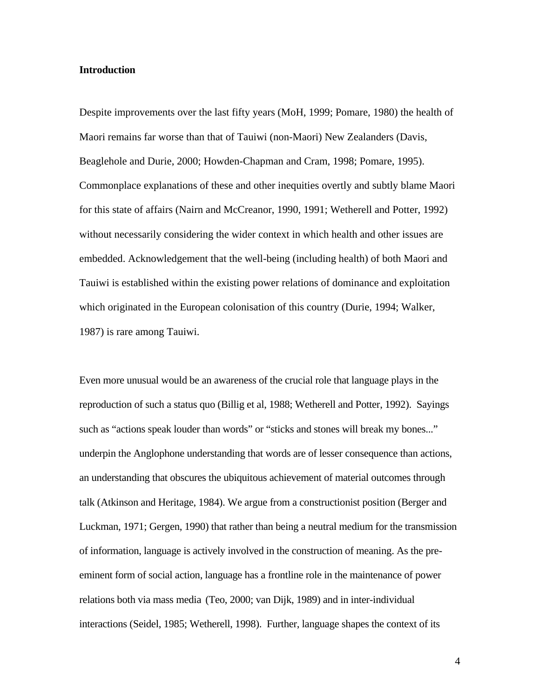#### **Introduction**

Despite improvements over the last fifty years (MoH, 1999; Pomare, 1980) the health of Maori remains far worse than that of Tauiwi (non-Maori) New Zealanders (Davis, Beaglehole and Durie, 2000; Howden-Chapman and Cram, 1998; Pomare, 1995). Commonplace explanations of these and other inequities overtly and subtly blame Maori for this state of affairs (Nairn and McCreanor, 1990, 1991; Wetherell and Potter, 1992) without necessarily considering the wider context in which health and other issues are embedded. Acknowledgement that the well-being (including health) of both Maori and Tauiwi is established within the existing power relations of dominance and exploitation which originated in the European colonisation of this country (Durie, 1994; Walker, 1987) is rare among Tauiwi.

Even more unusual would be an awareness of the crucial role that language plays in the reproduction of such a status quo (Billig et al, 1988; Wetherell and Potter, 1992). Sayings such as "actions speak louder than words" or "sticks and stones will break my bones..." underpin the Anglophone understanding that words are of lesser consequence than actions, an understanding that obscures the ubiquitous achievement of material outcomes through talk (Atkinson and Heritage, 1984). We argue from a constructionist position (Berger and Luckman, 1971; Gergen, 1990) that rather than being a neutral medium for the transmission of information, language is actively involved in the construction of meaning. As the preeminent form of social action, language has a frontline role in the maintenance of power relations both via mass media (Teo, 2000; van Dijk, 1989) and in inter-individual interactions (Seidel, 1985; Wetherell, 1998). Further, language shapes the context of its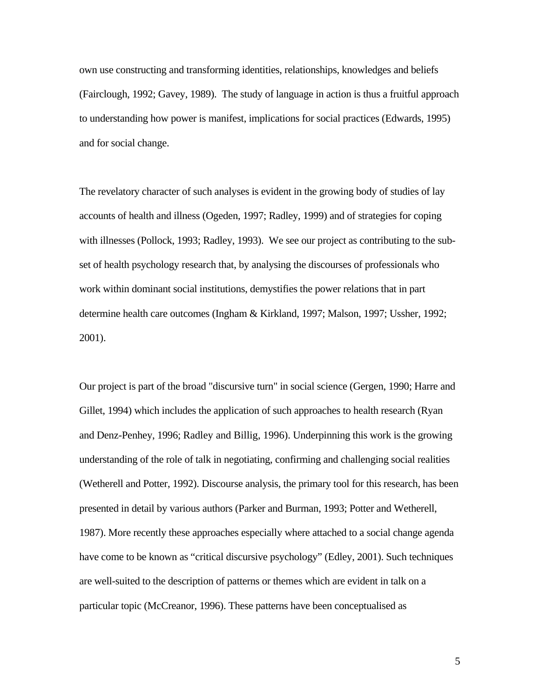own use constructing and transforming identities, relationships, knowledges and beliefs (Fairclough, 1992; Gavey, 1989). The study of language in action is thus a fruitful approach to understanding how power is manifest, implications for social practices (Edwards, 1995) and for social change.

The revelatory character of such analyses is evident in the growing body of studies of lay accounts of health and illness (Ogeden, 1997; Radley, 1999) and of strategies for coping with illnesses (Pollock, 1993; Radley, 1993). We see our project as contributing to the subset of health psychology research that, by analysing the discourses of professionals who work within dominant social institutions, demystifies the power relations that in part determine health care outcomes (Ingham & Kirkland, 1997; Malson, 1997; Ussher, 1992; 2001).

Our project is part of the broad "discursive turn" in social science (Gergen, 1990; Harre and Gillet, 1994) which includes the application of such approaches to health research (Ryan and Denz-Penhey, 1996; Radley and Billig, 1996). Underpinning this work is the growing understanding of the role of talk in negotiating, confirming and challenging social realities (Wetherell and Potter, 1992). Discourse analysis, the primary tool for this research, has been presented in detail by various authors (Parker and Burman, 1993; Potter and Wetherell, 1987). More recently these approaches especially where attached to a social change agenda have come to be known as "critical discursive psychology" (Edley, 2001). Such techniques are well-suited to the description of patterns or themes which are evident in talk on a particular topic (McCreanor, 1996). These patterns have been conceptualised as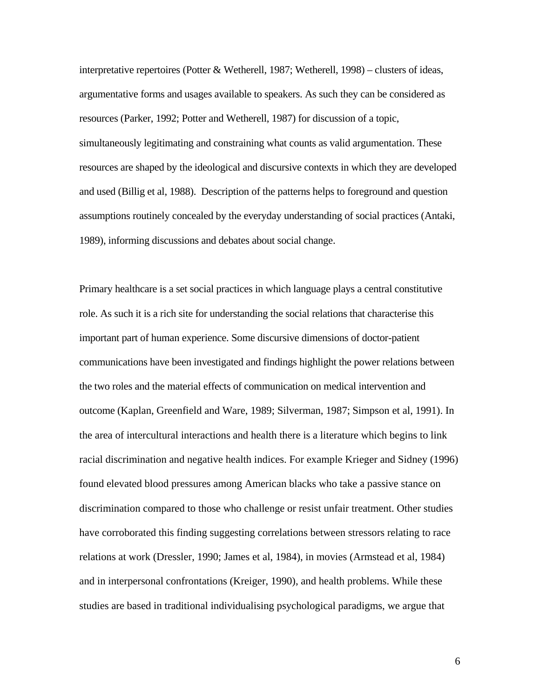interpretative repertoires (Potter & Wetherell, 1987; Wetherell, 1998) – clusters of ideas, argumentative forms and usages available to speakers. As such they can be considered as resources (Parker, 1992; Potter and Wetherell, 1987) for discussion of a topic, simultaneously legitimating and constraining what counts as valid argumentation. These resources are shaped by the ideological and discursive contexts in which they are developed and used (Billig et al, 1988). Description of the patterns helps to foreground and question assumptions routinely concealed by the everyday understanding of social practices (Antaki, 1989), informing discussions and debates about social change.

Primary healthcare is a set social practices in which language plays a central constitutive role. As such it is a rich site for understanding the social relations that characterise this important part of human experience. Some discursive dimensions of doctor-patient communications have been investigated and findings highlight the power relations between the two roles and the material effects of communication on medical intervention and outcome (Kaplan, Greenfield and Ware, 1989; Silverman, 1987; Simpson et al, 1991). In the area of intercultural interactions and health there is a literature which begins to link racial discrimination and negative health indices. For example Krieger and Sidney (1996) found elevated blood pressures among American blacks who take a passive stance on discrimination compared to those who challenge or resist unfair treatment. Other studies have corroborated this finding suggesting correlations between stressors relating to race relations at work (Dressler, 1990; James et al, 1984), in movies (Armstead et al, 1984) and in interpersonal confrontations (Kreiger, 1990), and health problems. While these studies are based in traditional individualising psychological paradigms, we argue that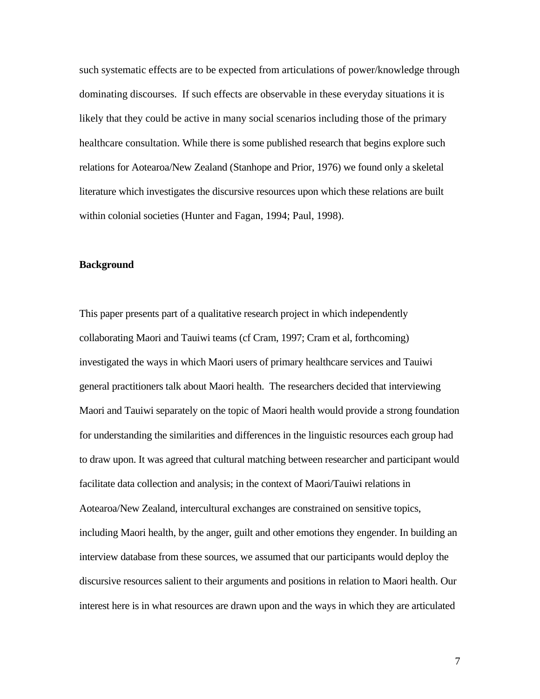such systematic effects are to be expected from articulations of power/knowledge through dominating discourses. If such effects are observable in these everyday situations it is likely that they could be active in many social scenarios including those of the primary healthcare consultation. While there is some published research that begins explore such relations for Aotearoa/New Zealand (Stanhope and Prior, 1976) we found only a skeletal literature which investigates the discursive resources upon which these relations are built within colonial societies (Hunter and Fagan, 1994; Paul, 1998).

#### **Background**

This paper presents part of a qualitative research project in which independently collaborating Maori and Tauiwi teams (cf Cram, 1997; Cram et al, forthcoming) investigated the ways in which Maori users of primary healthcare services and Tauiwi general practitioners talk about Maori health. The researchers decided that interviewing Maori and Tauiwi separately on the topic of Maori health would provide a strong foundation for understanding the similarities and differences in the linguistic resources each group had to draw upon. It was agreed that cultural matching between researcher and participant would facilitate data collection and analysis; in the context of Maori/Tauiwi relations in Aotearoa/New Zealand, intercultural exchanges are constrained on sensitive topics, including Maori health, by the anger, guilt and other emotions they engender. In building an interview database from these sources, we assumed that our participants would deploy the discursive resources salient to their arguments and positions in relation to Maori health. Our interest here is in what resources are drawn upon and the ways in which they are articulated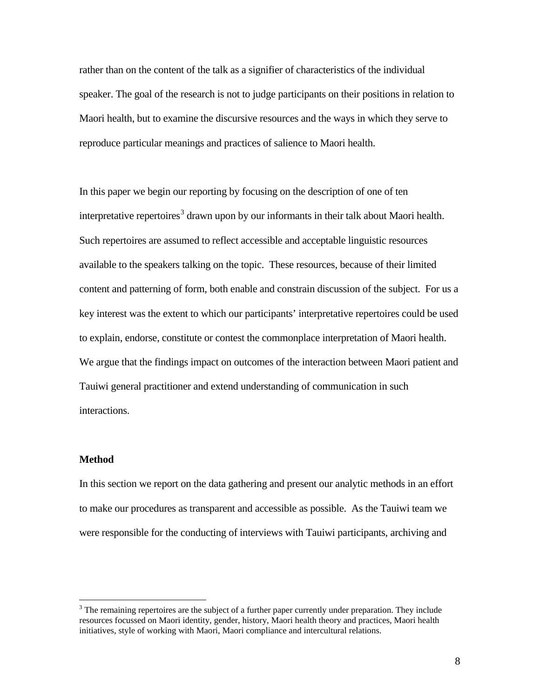rather than on the content of the talk as a signifier of characteristics of the individual speaker. The goal of the research is not to judge participants on their positions in relation to Maori health, but to examine the discursive resources and the ways in which they serve to reproduce particular meanings and practices of salience to Maori health.

In this paper we begin our reporting by focusing on the description of one of ten interpretative repertoires<sup>[3](#page-6-0)</sup> drawn upon by our informants in their talk about Maori health. Such repertoires are assumed to reflect accessible and acceptable linguistic resources available to the speakers talking on the topic. These resources, because of their limited content and patterning of form, both enable and constrain discussion of the subject. For us a key interest was the extent to which our participants' interpretative repertoires could be used to explain, endorse, constitute or contest the commonplace interpretation of Maori health. We argue that the findings impact on outcomes of the interaction between Maori patient and Tauiwi general practitioner and extend understanding of communication in such interactions.

#### **Method**

In this section we report on the data gathering and present our analytic methods in an effort to make our procedures as transparent and accessible as possible. As the Tauiwi team we were responsible for the conducting of interviews with Tauiwi participants, archiving and

<span id="page-6-0"></span><sup>&</sup>lt;sup>3</sup> The remaining repertoires are the subject of a further paper currently under preparation. They include resources focussed on Maori identity, gender, history, Maori health theory and practices, Maori health initiatives, style of working with Maori, Maori compliance and intercultural relations.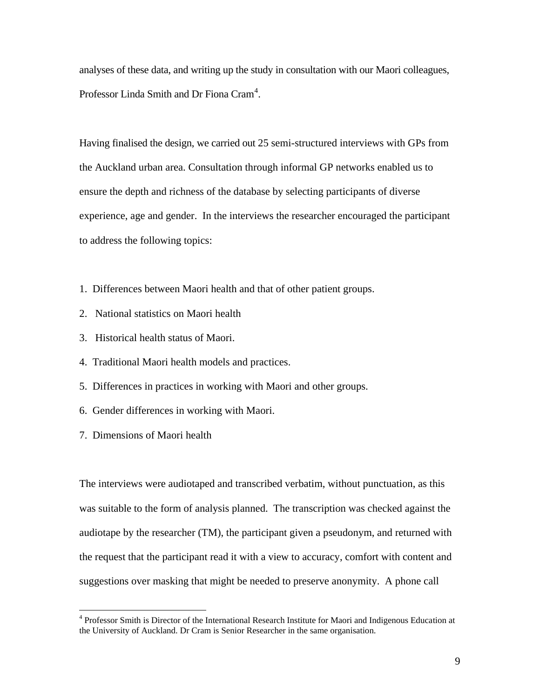analyses of these data, and writing up the study in consultation with our Maori colleagues, Professor Linda Smith and Dr Fiona Cram<sup>[4](#page-7-0)</sup>.

Having finalised the design, we carried out 25 semi-structured interviews with GPs from the Auckland urban area. Consultation through informal GP networks enabled us to ensure the depth and richness of the database by selecting participants of diverse experience, age and gender. In the interviews the researcher encouraged the participant to address the following topics:

- 1. Differences between Maori health and that of other patient groups.
- 2. National statistics on Maori health
- 3. Historical health status of Maori.
- 4. Traditional Maori health models and practices.
- 5. Differences in practices in working with Maori and other groups.
- 6. Gender differences in working with Maori.
- 7. Dimensions of Maori health

The interviews were audiotaped and transcribed verbatim, without punctuation, as this was suitable to the form of analysis planned. The transcription was checked against the audiotape by the researcher (TM), the participant given a pseudonym, and returned with the request that the participant read it with a view to accuracy, comfort with content and suggestions over masking that might be needed to preserve anonymity. A phone call

<span id="page-7-0"></span> <sup>4</sup> Professor Smith is Director of the International Research Institute for Maori and Indigenous Education at the University of Auckland. Dr Cram is Senior Researcher in the same organisation.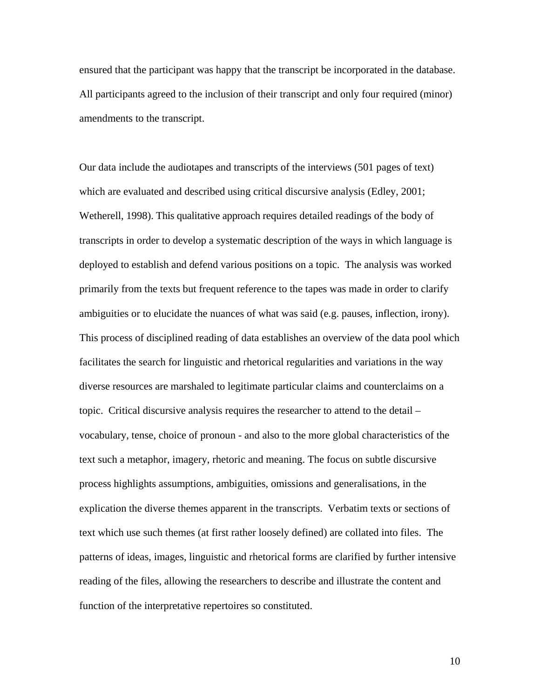ensured that the participant was happy that the transcript be incorporated in the database. All participants agreed to the inclusion of their transcript and only four required (minor) amendments to the transcript.

Our data include the audiotapes and transcripts of the interviews (501 pages of text) which are evaluated and described using critical discursive analysis (Edley, 2001; Wetherell, 1998). This qualitative approach requires detailed readings of the body of transcripts in order to develop a systematic description of the ways in which language is deployed to establish and defend various positions on a topic. The analysis was worked primarily from the texts but frequent reference to the tapes was made in order to clarify ambiguities or to elucidate the nuances of what was said (e.g. pauses, inflection, irony). This process of disciplined reading of data establishes an overview of the data pool which facilitates the search for linguistic and rhetorical regularities and variations in the way diverse resources are marshaled to legitimate particular claims and counterclaims on a topic. Critical discursive analysis requires the researcher to attend to the detail – vocabulary, tense, choice of pronoun - and also to the more global characteristics of the text such a metaphor, imagery, rhetoric and meaning. The focus on subtle discursive process highlights assumptions, ambiguities, omissions and generalisations, in the explication the diverse themes apparent in the transcripts. Verbatim texts or sections of text which use such themes (at first rather loosely defined) are collated into files. The patterns of ideas, images, linguistic and rhetorical forms are clarified by further intensive reading of the files, allowing the researchers to describe and illustrate the content and function of the interpretative repertoires so constituted.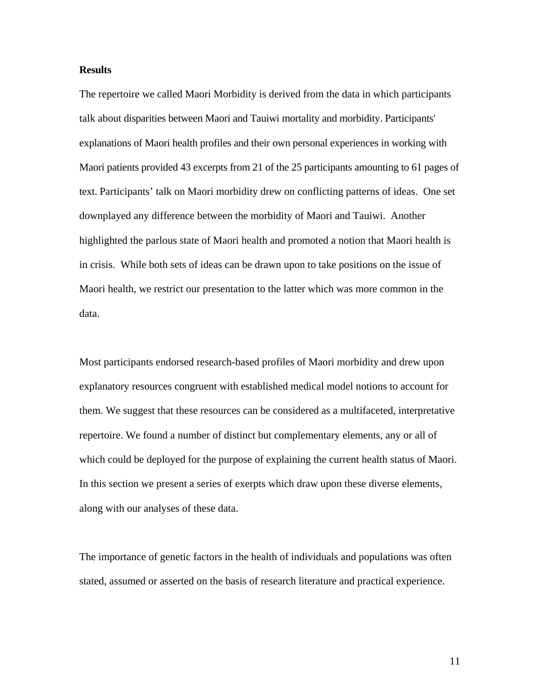#### **Results**

The repertoire we called Maori Morbidity is derived from the data in which participants talk about disparities between Maori and Tauiwi mortality and morbidity. Participants' explanations of Maori health profiles and their own personal experiences in working with Maori patients provided 43 excerpts from 21 of the 25 participants amounting to 61 pages of text. Participants' talk on Maori morbidity drew on conflicting patterns of ideas. One set downplayed any difference between the morbidity of Maori and Tauiwi. Another highlighted the parlous state of Maori health and promoted a notion that Maori health is in crisis. While both sets of ideas can be drawn upon to take positions on the issue of Maori health, we restrict our presentation to the latter which was more common in the data.

Most participants endorsed research-based profiles of Maori morbidity and drew upon explanatory resources congruent with established medical model notions to account for them. We suggest that these resources can be considered as a multifaceted, interpretative repertoire. We found a number of distinct but complementary elements, any or all of which could be deployed for the purpose of explaining the current health status of Maori. In this section we present a series of exerpts which draw upon these diverse elements, along with our analyses of these data.

The importance of genetic factors in the health of individuals and populations was often stated, assumed or asserted on the basis of research literature and practical experience.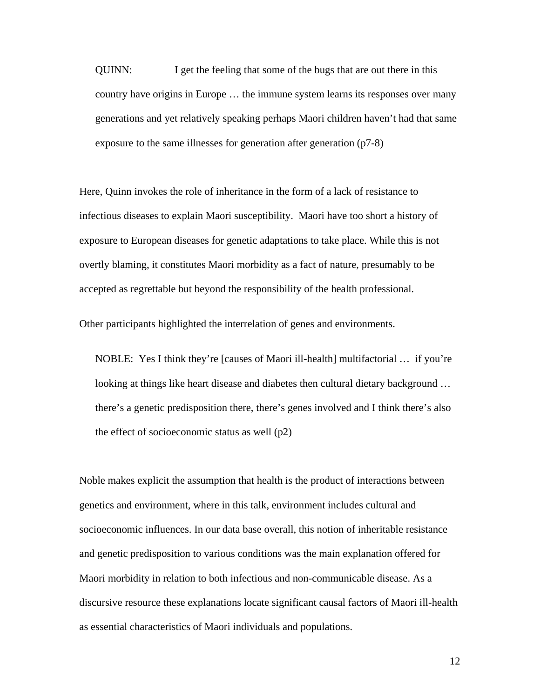QUINN: I get the feeling that some of the bugs that are out there in this country have origins in Europe … the immune system learns its responses over many generations and yet relatively speaking perhaps Maori children haven't had that same exposure to the same illnesses for generation after generation (p7-8)

Here, Quinn invokes the role of inheritance in the form of a lack of resistance to infectious diseases to explain Maori susceptibility. Maori have too short a history of exposure to European diseases for genetic adaptations to take place. While this is not overtly blaming, it constitutes Maori morbidity as a fact of nature, presumably to be accepted as regrettable but beyond the responsibility of the health professional.

Other participants highlighted the interrelation of genes and environments.

NOBLE: Yes I think they're [causes of Maori ill-health] multifactorial … if you're looking at things like heart disease and diabetes then cultural dietary background … there's a genetic predisposition there, there's genes involved and I think there's also the effect of socioeconomic status as well (p2)

Noble makes explicit the assumption that health is the product of interactions between genetics and environment, where in this talk, environment includes cultural and socioeconomic influences. In our data base overall, this notion of inheritable resistance and genetic predisposition to various conditions was the main explanation offered for Maori morbidity in relation to both infectious and non-communicable disease. As a discursive resource these explanations locate significant causal factors of Maori ill-health as essential characteristics of Maori individuals and populations.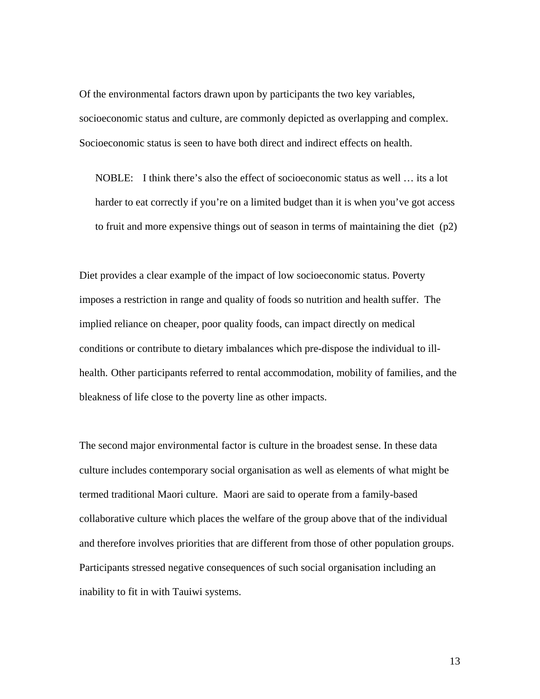Of the environmental factors drawn upon by participants the two key variables, socioeconomic status and culture, are commonly depicted as overlapping and complex. Socioeconomic status is seen to have both direct and indirect effects on health.

NOBLE: I think there's also the effect of socioeconomic status as well … its a lot harder to eat correctly if you're on a limited budget than it is when you've got access to fruit and more expensive things out of season in terms of maintaining the diet (p2)

Diet provides a clear example of the impact of low socioeconomic status. Poverty imposes a restriction in range and quality of foods so nutrition and health suffer. The implied reliance on cheaper, poor quality foods, can impact directly on medical conditions or contribute to dietary imbalances which pre-dispose the individual to illhealth. Other participants referred to rental accommodation, mobility of families, and the bleakness of life close to the poverty line as other impacts.

The second major environmental factor is culture in the broadest sense. In these data culture includes contemporary social organisation as well as elements of what might be termed traditional Maori culture. Maori are said to operate from a family-based collaborative culture which places the welfare of the group above that of the individual and therefore involves priorities that are different from those of other population groups. Participants stressed negative consequences of such social organisation including an inability to fit in with Tauiwi systems.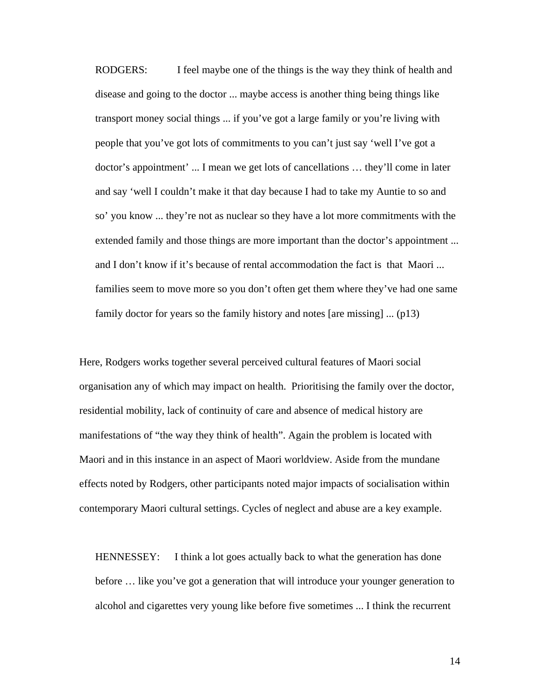RODGERS: I feel maybe one of the things is the way they think of health and disease and going to the doctor ... maybe access is another thing being things like transport money social things ... if you've got a large family or you're living with people that you've got lots of commitments to you can't just say 'well I've got a doctor's appointment' ... I mean we get lots of cancellations … they'll come in later and say 'well I couldn't make it that day because I had to take my Auntie to so and so' you know ... they're not as nuclear so they have a lot more commitments with the extended family and those things are more important than the doctor's appointment ... and I don't know if it's because of rental accommodation the fact is that Maori ... families seem to move more so you don't often get them where they've had one same family doctor for years so the family history and notes [are missing] ... (p13)

Here, Rodgers works together several perceived cultural features of Maori social organisation any of which may impact on health. Prioritising the family over the doctor, residential mobility, lack of continuity of care and absence of medical history are manifestations of "the way they think of health". Again the problem is located with Maori and in this instance in an aspect of Maori worldview. Aside from the mundane effects noted by Rodgers, other participants noted major impacts of socialisation within contemporary Maori cultural settings. Cycles of neglect and abuse are a key example.

HENNESSEY: I think a lot goes actually back to what the generation has done before … like you've got a generation that will introduce your younger generation to alcohol and cigarettes very young like before five sometimes ... I think the recurrent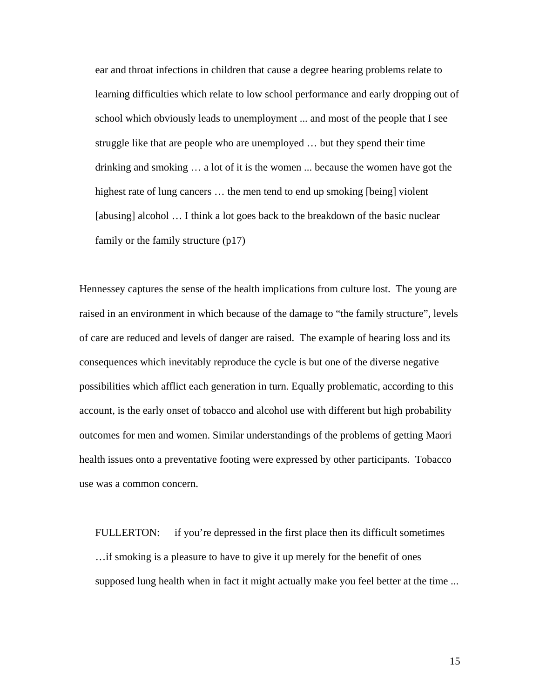ear and throat infections in children that cause a degree hearing problems relate to learning difficulties which relate to low school performance and early dropping out of school which obviously leads to unemployment ... and most of the people that I see struggle like that are people who are unemployed … but they spend their time drinking and smoking … a lot of it is the women ... because the women have got the highest rate of lung cancers ... the men tend to end up smoking [being] violent [abusing] alcohol … I think a lot goes back to the breakdown of the basic nuclear family or the family structure (p17)

Hennessey captures the sense of the health implications from culture lost. The young are raised in an environment in which because of the damage to "the family structure", levels of care are reduced and levels of danger are raised. The example of hearing loss and its consequences which inevitably reproduce the cycle is but one of the diverse negative possibilities which afflict each generation in turn. Equally problematic, according to this account, is the early onset of tobacco and alcohol use with different but high probability outcomes for men and women. Similar understandings of the problems of getting Maori health issues onto a preventative footing were expressed by other participants. Tobacco use was a common concern.

FULLERTON: if you're depressed in the first place then its difficult sometimes …if smoking is a pleasure to have to give it up merely for the benefit of ones supposed lung health when in fact it might actually make you feel better at the time ...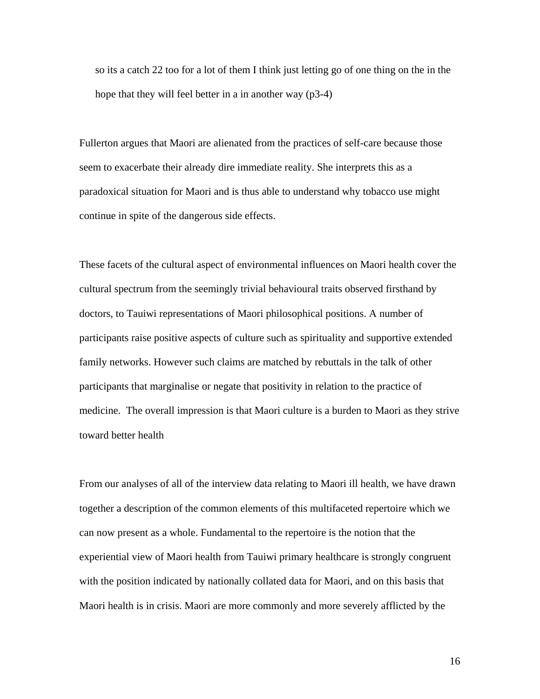so its a catch 22 too for a lot of them I think just letting go of one thing on the in the hope that they will feel better in a in another way (p3-4)

Fullerton argues that Maori are alienated from the practices of self-care because those seem to exacerbate their already dire immediate reality. She interprets this as a paradoxical situation for Maori and is thus able to understand why tobacco use might continue in spite of the dangerous side effects.

These facets of the cultural aspect of environmental influences on Maori health cover the cultural spectrum from the seemingly trivial behavioural traits observed firsthand by doctors, to Tauiwi representations of Maori philosophical positions. A number of participants raise positive aspects of culture such as spirituality and supportive extended family networks. However such claims are matched by rebuttals in the talk of other participants that marginalise or negate that positivity in relation to the practice of medicine. The overall impression is that Maori culture is a burden to Maori as they strive toward better health

From our analyses of all of the interview data relating to Maori ill health, we have drawn together a description of the common elements of this multifaceted repertoire which we can now present as a whole. Fundamental to the repertoire is the notion that the experiential view of Maori health from Tauiwi primary healthcare is strongly congruent with the position indicated by nationally collated data for Maori, and on this basis that Maori health is in crisis. Maori are more commonly and more severely afflicted by the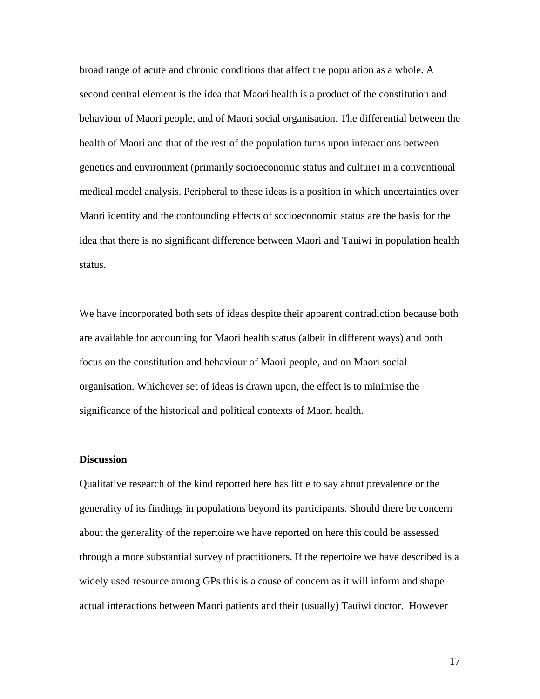broad range of acute and chronic conditions that affect the population as a whole. A second central element is the idea that Maori health is a product of the constitution and behaviour of Maori people, and of Maori social organisation. The differential between the health of Maori and that of the rest of the population turns upon interactions between genetics and environment (primarily socioeconomic status and culture) in a conventional medical model analysis. Peripheral to these ideas is a position in which uncertainties over Maori identity and the confounding effects of socioeconomic status are the basis for the idea that there is no significant difference between Maori and Tauiwi in population health status.

We have incorporated both sets of ideas despite their apparent contradiction because both are available for accounting for Maori health status (albeit in different ways) and both focus on the constitution and behaviour of Maori people, and on Maori social organisation. Whichever set of ideas is drawn upon, the effect is to minimise the significance of the historical and political contexts of Maori health.

#### **Discussion**

Qualitative research of the kind reported here has little to say about prevalence or the generality of its findings in populations beyond its participants. Should there be concern about the generality of the repertoire we have reported on here this could be assessed through a more substantial survey of practitioners. If the repertoire we have described is a widely used resource among GPs this is a cause of concern as it will inform and shape actual interactions between Maori patients and their (usually) Tauiwi doctor. However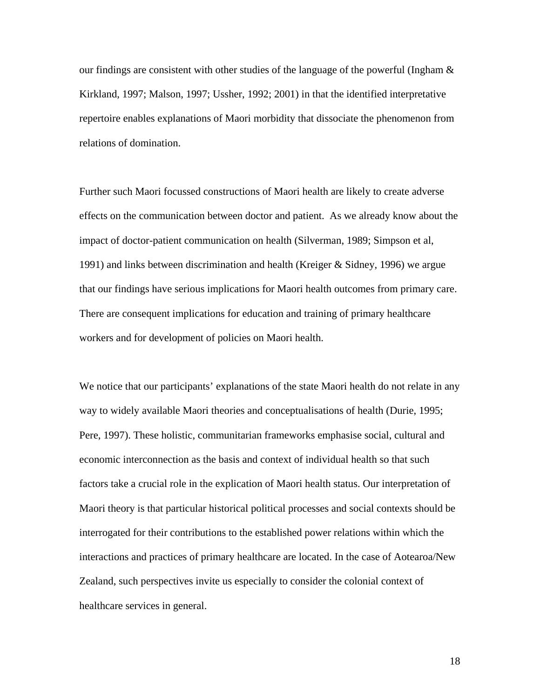our findings are consistent with other studies of the language of the powerful (Ingham  $\&$ Kirkland, 1997; Malson, 1997; Ussher, 1992; 2001) in that the identified interpretative repertoire enables explanations of Maori morbidity that dissociate the phenomenon from relations of domination.

Further such Maori focussed constructions of Maori health are likely to create adverse effects on the communication between doctor and patient. As we already know about the impact of doctor-patient communication on health (Silverman, 1989; Simpson et al, 1991) and links between discrimination and health (Kreiger & Sidney, 1996) we argue that our findings have serious implications for Maori health outcomes from primary care. There are consequent implications for education and training of primary healthcare workers and for development of policies on Maori health.

We notice that our participants' explanations of the state Maori health do not relate in any way to widely available Maori theories and conceptualisations of health (Durie, 1995; Pere, 1997). These holistic, communitarian frameworks emphasise social, cultural and economic interconnection as the basis and context of individual health so that such factors take a crucial role in the explication of Maori health status. Our interpretation of Maori theory is that particular historical political processes and social contexts should be interrogated for their contributions to the established power relations within which the interactions and practices of primary healthcare are located. In the case of Aotearoa/New Zealand, such perspectives invite us especially to consider the colonial context of healthcare services in general.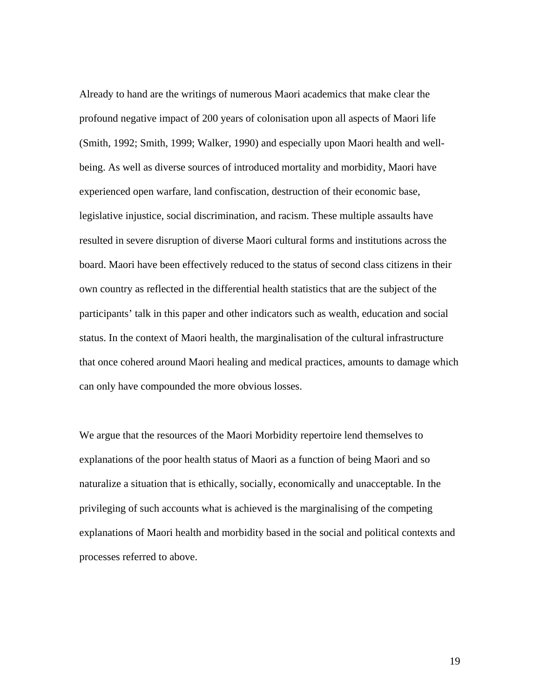Already to hand are the writings of numerous Maori academics that make clear the profound negative impact of 200 years of colonisation upon all aspects of Maori life (Smith, 1992; Smith, 1999; Walker, 1990) and especially upon Maori health and wellbeing. As well as diverse sources of introduced mortality and morbidity, Maori have experienced open warfare, land confiscation, destruction of their economic base, legislative injustice, social discrimination, and racism. These multiple assaults have resulted in severe disruption of diverse Maori cultural forms and institutions across the board. Maori have been effectively reduced to the status of second class citizens in their own country as reflected in the differential health statistics that are the subject of the participants' talk in this paper and other indicators such as wealth, education and social status. In the context of Maori health, the marginalisation of the cultural infrastructure that once cohered around Maori healing and medical practices, amounts to damage which can only have compounded the more obvious losses.

We argue that the resources of the Maori Morbidity repertoire lend themselves to explanations of the poor health status of Maori as a function of being Maori and so naturalize a situation that is ethically, socially, economically and unacceptable. In the privileging of such accounts what is achieved is the marginalising of the competing explanations of Maori health and morbidity based in the social and political contexts and processes referred to above.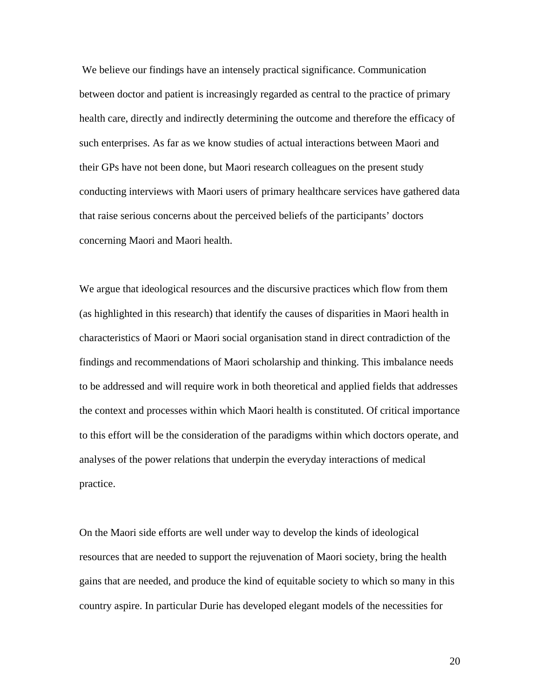We believe our findings have an intensely practical significance. Communication between doctor and patient is increasingly regarded as central to the practice of primary health care, directly and indirectly determining the outcome and therefore the efficacy of such enterprises. As far as we know studies of actual interactions between Maori and their GPs have not been done, but Maori research colleagues on the present study conducting interviews with Maori users of primary healthcare services have gathered data that raise serious concerns about the perceived beliefs of the participants' doctors concerning Maori and Maori health.

We argue that ideological resources and the discursive practices which flow from them (as highlighted in this research) that identify the causes of disparities in Maori health in characteristics of Maori or Maori social organisation stand in direct contradiction of the findings and recommendations of Maori scholarship and thinking. This imbalance needs to be addressed and will require work in both theoretical and applied fields that addresses the context and processes within which Maori health is constituted. Of critical importance to this effort will be the consideration of the paradigms within which doctors operate, and analyses of the power relations that underpin the everyday interactions of medical practice.

On the Maori side efforts are well under way to develop the kinds of ideological resources that are needed to support the rejuvenation of Maori society, bring the health gains that are needed, and produce the kind of equitable society to which so many in this country aspire. In particular Durie has developed elegant models of the necessities for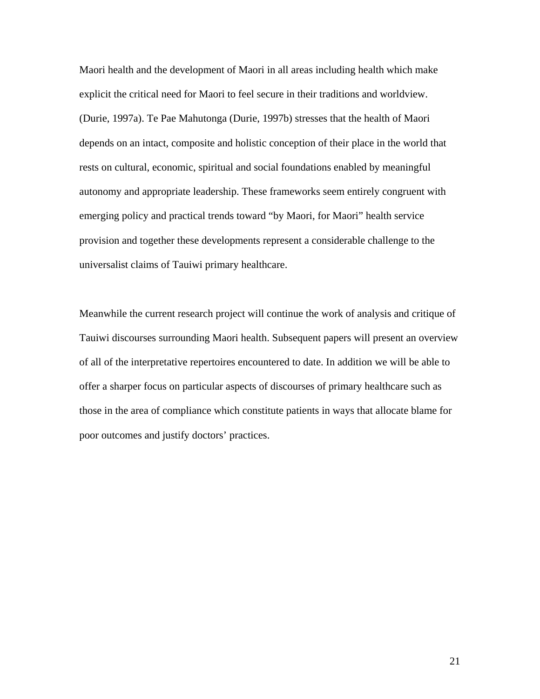Maori health and the development of Maori in all areas including health which make explicit the critical need for Maori to feel secure in their traditions and worldview. (Durie, 1997a). Te Pae Mahutonga (Durie, 1997b) stresses that the health of Maori depends on an intact, composite and holistic conception of their place in the world that rests on cultural, economic, spiritual and social foundations enabled by meaningful autonomy and appropriate leadership. These frameworks seem entirely congruent with emerging policy and practical trends toward "by Maori, for Maori" health service provision and together these developments represent a considerable challenge to the universalist claims of Tauiwi primary healthcare.

Meanwhile the current research project will continue the work of analysis and critique of Tauiwi discourses surrounding Maori health. Subsequent papers will present an overview of all of the interpretative repertoires encountered to date. In addition we will be able to offer a sharper focus on particular aspects of discourses of primary healthcare such as those in the area of compliance which constitute patients in ways that allocate blame for poor outcomes and justify doctors' practices.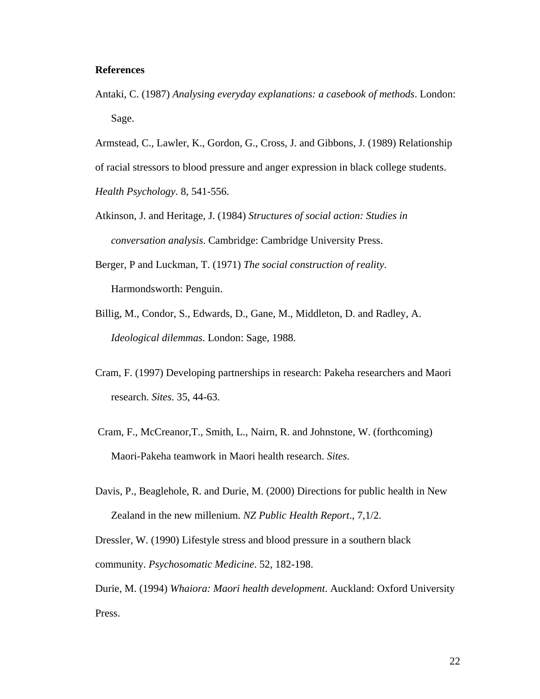### **References**

Antaki, C. (1987) *Analysing everyday explanations: a casebook of methods*. London: Sage.

Armstead, C., Lawler, K., Gordon, G., Cross, J. and Gibbons, J. (1989) Relationship of racial stressors to blood pressure and anger expression in black college students. *Health Psychology*. 8, 541-556.

- Atkinson, J. and Heritage, J. (1984) *Structures of social action: Studies in conversation analysis*. Cambridge: Cambridge University Press.
- Berger, P and Luckman, T. (1971) *The social construction of reality*. Harmondsworth: Penguin.
- Billig, M., Condor, S., Edwards, D., Gane, M., Middleton, D. and Radley, A. *Ideological dilemmas*. London: Sage, 1988.
- Cram, F. (1997) Developing partnerships in research: Pakeha researchers and Maori research. *Sites*. 35, 44-63.
- Cram, F., McCreanor,T., Smith, L., Nairn, R. and Johnstone, W. (forthcoming) Maori-Pakeha teamwork in Maori health research. *Sites*.
- Davis, P., Beaglehole, R. and Durie, M. (2000) Directions for public health in New Zealand in the new millenium. *NZ Public Health Report*., 7,1/2.

Dressler, W. (1990) Lifestyle stress and blood pressure in a southern black community. *Psychosomatic Medicine*. 52, 182-198.

Durie, M. (1994) *Whaiora: Maori health development*. Auckland: Oxford University Press.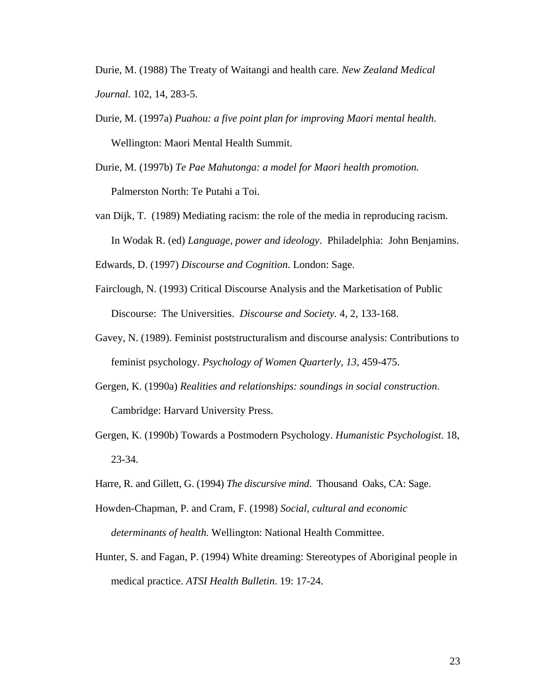Durie, M. (1988) The Treaty of Waitangi and health care*. New Zealand Medical Journal.* 102, 14, 283-5.

Durie, M. (1997a) *Puahou: a five point plan for improving Maori mental health*. Wellington: Maori Mental Health Summit.

Durie, M. (1997b) *Te Pae Mahutonga: a model for Maori health promotion.* Palmerston North: Te Putahi a Toi.

van Dijk, T. (1989) Mediating racism: the role of the media in reproducing racism. In Wodak R. (ed) *Language, power and ideology*. Philadelphia: John Benjamins.

Edwards, D. (1997) *Discourse and Cognition*. London: Sage.

Fairclough, N. (1993) Critical Discourse Analysis and the Marketisation of Public Discourse: The Universities. *Discourse and Society.* 4, 2, 133-168.

- Gavey, N. (1989). Feminist poststructuralism and discourse analysis: Contributions to feminist psychology. *Psychology of Women Quarterly, 13,* 459-475.
- Gergen, K. (1990a) *Realities and relationships: soundings in social construction*. Cambridge: Harvard University Press.
- Gergen, K. (1990b) Towards a Postmodern Psychology. *Humanistic Psychologist*. 18, 23-34.
- Harre, R. and Gillett, G. (1994) *The discursive mind*. Thousand Oaks, CA: Sage.
- Howden-Chapman, P. and Cram, F. (1998) *Social, cultural and economic determinants of health.* Wellington: National Health Committee.
- Hunter, S. and Fagan, P. (1994) White dreaming: Stereotypes of Aboriginal people in medical practice. *ATSI Health Bulletin*. 19: 17-24.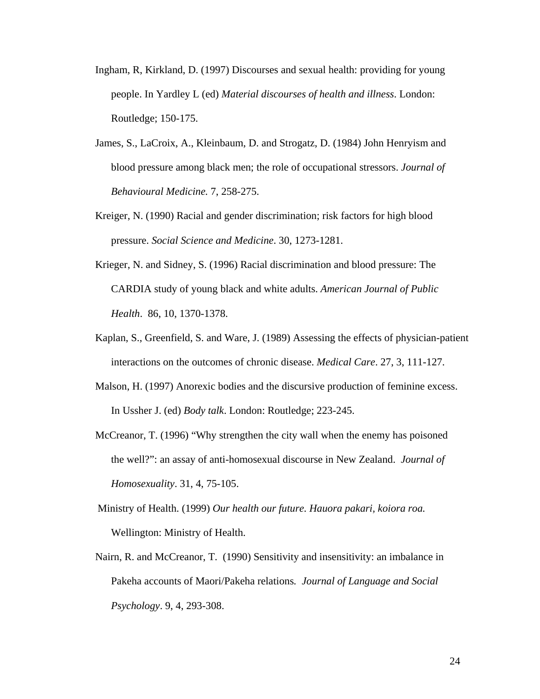- Ingham, R, Kirkland, D. (1997) Discourses and sexual health: providing for young people. In Yardley L (ed) *Material discourses of health and illness*. London: Routledge; 150-175.
- James, S., LaCroix, A., Kleinbaum, D. and Strogatz, D. (1984) John Henryism and blood pressure among black men; the role of occupational stressors. *Journal of Behavioural Medicine.* 7, 258-275.
- Kreiger, N. (1990) Racial and gender discrimination; risk factors for high blood pressure. *Social Science and Medicine*. 30, 1273-1281.
- Krieger, N. and Sidney, S. (1996) Racial discrimination and blood pressure: The CARDIA study of young black and white adults. *American Journal of Public Health*. 86, 10, 1370-1378.
- Kaplan, S., Greenfield, S. and Ware, J. (1989) Assessing the effects of physician-patient interactions on the outcomes of chronic disease. *Medical Care*. 27, 3, 111-127.
- Malson, H. (1997) Anorexic bodies and the discursive production of feminine excess. In Ussher J. (ed) *Body talk*. London: Routledge; 223-245.
- McCreanor, T. (1996) "Why strengthen the city wall when the enemy has poisoned the well?": an assay of anti-homosexual discourse in New Zealand. *Journal of Homosexuality*. 31, 4, 75-105.
- Ministry of Health. (1999) *Our health our future. Hauora pakari, koiora roa.* Wellington: Ministry of Health.
- Nairn, R. and McCreanor, T. (1990) Sensitivity and insensitivity: an imbalance in Pakeha accounts of Maori/Pakeha relations*. Journal of Language and Social Psychology*. 9, 4, 293-308.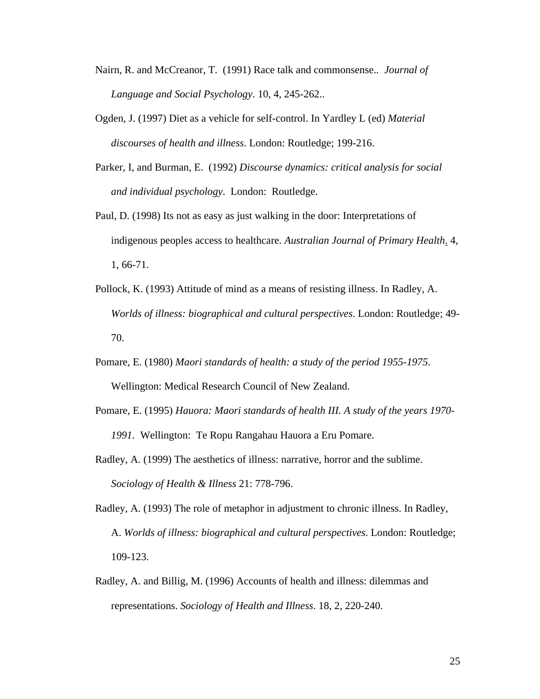- Nairn, R. and McCreanor, T. (1991) Race talk and commonsense.*. Journal of Language and Social Psychology*. 10, 4, 245-262..
- Ogden, J. (1997) Diet as a vehicle for self-control. In Yardley L (ed) *Material discourses of health and illness*. London: Routledge; 199-216.
- Parker, I, and Burman, E. (1992) *Discourse dynamics: critical analysis for social and individual psychology*. London: Routledge.
- Paul, D. (1998) Its not as easy as just walking in the door: Interpretations of indigenous peoples access to healthcare*. Australian Journal of Primary Health*. 4, 1, 66-71.
- Pollock, K. (1993) Attitude of mind as a means of resisting illness. In Radley, A. *Worlds of illness: biographical and cultural perspectives*. London: Routledge; 49- 70.
- Pomare, E. (1980) *Maori standards of health: a study of the period 1955-1975*. Wellington: Medical Research Council of New Zealand.
- Pomare, E. (1995) *Hauora: Maori standards of health III. A study of the years 1970- 1991.* Wellington: Te Ropu Rangahau Hauora a Eru Pomare.
- Radley, A. (1999) The aesthetics of illness: narrative, horror and the sublime. *Sociology of Health & Illness* 21: 778-796.
- Radley, A. (1993) The role of metaphor in adjustment to chronic illness. In Radley, A. *Worlds of illness: biographical and cultural perspectives*. London: Routledge; 109-123.
- Radley, A. and Billig, M. (1996) Accounts of health and illness: dilemmas and representations. *Sociology of Health and Illness*. 18, 2, 220-240.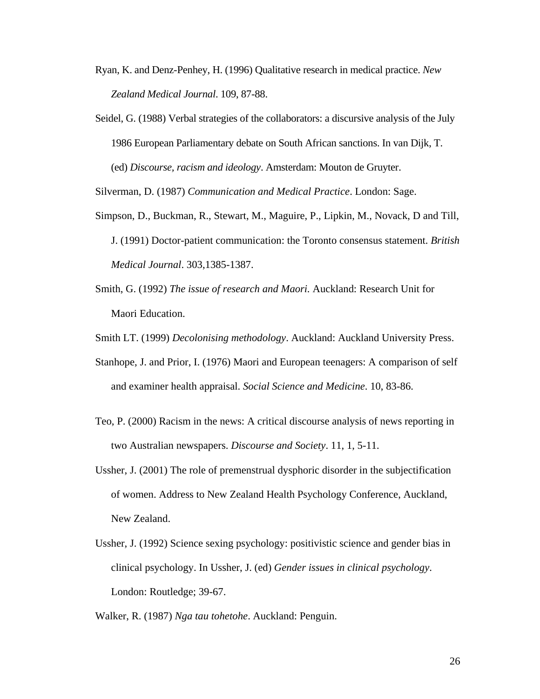- Ryan, K. and Denz-Penhey, H. (1996) Qualitative research in medical practice. *New Zealand Medical Journal*. 109, 87-88.
- Seidel, G. (1988) Verbal strategies of the collaborators: a discursive analysis of the July 1986 European Parliamentary debate on South African sanctions. In van Dijk, T. (ed) *Discourse, racism and ideology*. Amsterdam: Mouton de Gruyter.

Silverman, D. (1987) *Communication and Medical Practice*. London: Sage.

- Simpson, D., Buckman, R., Stewart, M., Maguire, P., Lipkin, M., Novack, D and Till, J. (1991) Doctor-patient communication: the Toronto consensus statement. *British Medical Journal*. 303,1385-1387.
- Smith, G. (1992) *The issue of research and Maori.* Auckland: Research Unit for Maori Education.
- Smith LT. (1999) *Decolonising methodology*. Auckland: Auckland University Press.
- Stanhope, J. and Prior, I. (1976) Maori and European teenagers: A comparison of self and examiner health appraisal. *Social Science and Medicine*. 10, 83-86.
- Teo, P. (2000) Racism in the news: A critical discourse analysis of news reporting in two Australian newspapers. *Discourse and Society*. 11, 1, 5-11.
- Ussher, J. (2001) The role of premenstrual dysphoric disorder in the subjectification of women. Address to New Zealand Health Psychology Conference, Auckland, New Zealand.
- Ussher, J. (1992) Science sexing psychology: positivistic science and gender bias in clinical psychology. In Ussher, J. (ed) *Gender issues in clinical psychology*. London: Routledge; 39-67.

Walker, R. (1987) *Nga tau tohetohe*. Auckland: Penguin.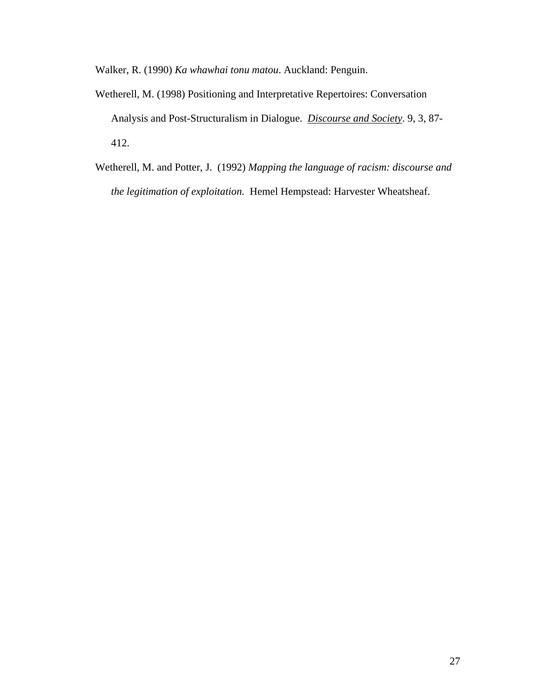Walker, R. (1990) *Ka whawhai tonu matou*. Auckland: Penguin.

- Wetherell, M. (1998) Positioning and Interpretative Repertoires: Conversation Analysis and Post-Structuralism in Dialogue. *Discourse and Society*. 9, 3, 87- 412.
- Wetherell, M. and Potter, J. (1992) *Mapping the language of racism: discourse and the legitimation of exploitation.* Hemel Hempstead: Harvester Wheatsheaf.